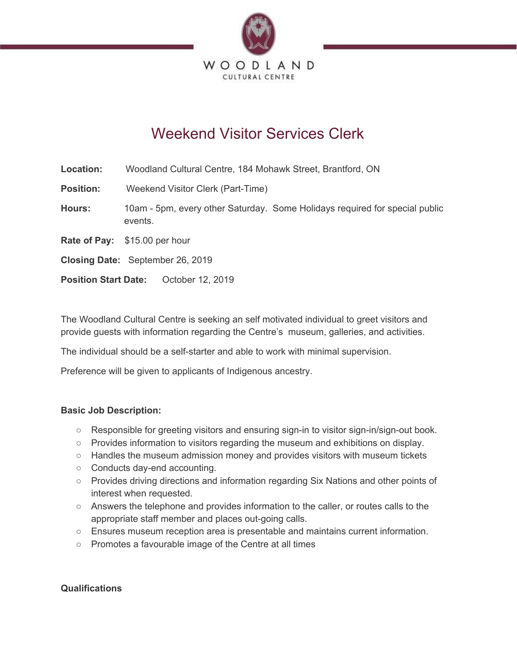

# Weekend Visitor Services Clerk

| Location:                   | Woodland Cultural Centre, 184 Mohawk Street, Brantford, ON                             |
|-----------------------------|----------------------------------------------------------------------------------------|
| <b>Position:</b>            | Weekend Visitor Clerk (Part-Time)                                                      |
| <b>Hours:</b>               | 10am - 5pm, every other Saturday. Some Holidays required for special public<br>events. |
|                             | Rate of Pay: \$15.00 per hour                                                          |
|                             | Closing Date: September 26, 2019                                                       |
| <b>Position Start Date:</b> | October 12, 2019                                                                       |

The Woodland Cultural Centre is seeking an self motivated individual to greet visitors and provide guests with information regarding the Centre's museum, galleries, and activities.

The individual should be a self-starter and able to work with minimal supervision.

Preference will be given to applicants of Indigenous ancestry.

# **Basic Job Description:**

- Responsible for greeting visitors and ensuring sign-in to visitor sign-in/sign-out book.
- Provides information to visitors regarding the museum and exhibitions on display.
- Handles the museum admission money and provides visitors with museum tickets
- Conducts day-end accounting.
- Provides driving directions and information regarding Six Nations and other points of interest when requested.
- Answers the telephone and provides information to the caller, or routes calls to the appropriate staff member and places out-going calls.
- Ensures museum reception area is presentable and maintains current information.
- Promotes a favourable image of the Centre at all times

# **Qualifications**